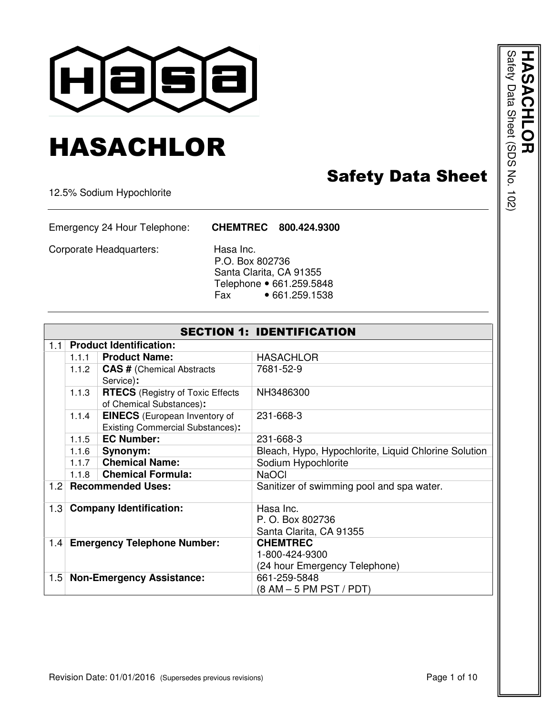

# HASACHLOR

## Safety Data Sheet

12.5% Sodium Hypochlorite

Emergency 24 Hour Telephone: **CHEMTREC 800.424.9300**

Corporate Headquarters: Hasa Inc.

 P.O. Box 802736 Santa Clarita, CA 91355 Telephone • 661.259.5848 Fax • 661.259.1538

|     | <b>SECTION 1: IDENTIFICATION</b> |                                         |                                                      |  |  |
|-----|----------------------------------|-----------------------------------------|------------------------------------------------------|--|--|
| 1.1 |                                  | <b>Product Identification:</b>          |                                                      |  |  |
|     | 1.1.1                            | <b>Product Name:</b>                    | <b>HASACHLOR</b>                                     |  |  |
|     | 1.1.2                            | <b>CAS # (Chemical Abstracts</b>        | 7681-52-9                                            |  |  |
|     |                                  | Service):                               |                                                      |  |  |
|     | 1.1.3                            | <b>RTECS</b> (Registry of Toxic Effects | NH3486300                                            |  |  |
|     |                                  | of Chemical Substances):                |                                                      |  |  |
|     | 1.1.4                            | <b>EINECS</b> (European Inventory of    | 231-668-3                                            |  |  |
|     |                                  | <b>Existing Commercial Substances):</b> |                                                      |  |  |
|     | 1.1.5                            | <b>EC Number:</b>                       | 231-668-3                                            |  |  |
|     | 1.1.6                            | Synonym:                                | Bleach, Hypo, Hypochlorite, Liquid Chlorine Solution |  |  |
|     | 1.1.7                            | <b>Chemical Name:</b>                   | Sodium Hypochlorite                                  |  |  |
|     | 1.1.8                            | <b>Chemical Formula:</b>                | <b>NaOCI</b>                                         |  |  |
| 1.2 |                                  | <b>Recommended Uses:</b>                | Sanitizer of swimming pool and spa water.            |  |  |
| 1.3 |                                  | <b>Company Identification:</b>          | Hasa Inc.                                            |  |  |
|     |                                  |                                         | P. O. Box 802736                                     |  |  |
|     |                                  |                                         | Santa Clarita, CA 91355                              |  |  |
| 1.4 |                                  | <b>Emergency Telephone Number:</b>      | <b>CHEMTREC</b>                                      |  |  |
|     |                                  |                                         | 1-800-424-9300                                       |  |  |
|     |                                  |                                         | (24 hour Emergency Telephone)                        |  |  |
| 1.5 |                                  | <b>Non-Emergency Assistance:</b>        | 661-259-5848                                         |  |  |
|     |                                  |                                         | $(8 AM - 5 PM PST / PDT)$                            |  |  |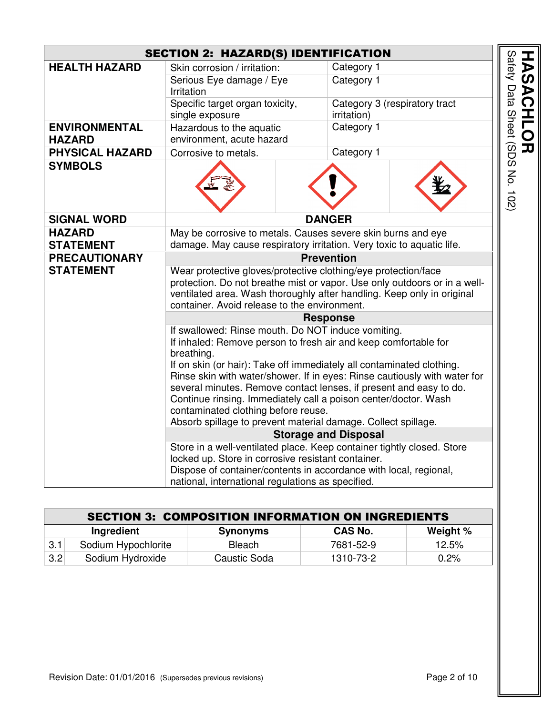|                                       | <b>SECTION 2: HAZARD(S) IDENTIFICATION</b>                                                                                                                                                                                                                            |               |                             |                               |
|---------------------------------------|-----------------------------------------------------------------------------------------------------------------------------------------------------------------------------------------------------------------------------------------------------------------------|---------------|-----------------------------|-------------------------------|
| <b>HEALTH HAZARD</b>                  | Skin corrosion / irritation:                                                                                                                                                                                                                                          |               | Category 1                  |                               |
|                                       | Serious Eye damage / Eye<br>Irritation                                                                                                                                                                                                                                |               | Category 1                  |                               |
|                                       | Specific target organ toxicity,<br>single exposure                                                                                                                                                                                                                    |               | irritation)                 | Category 3 (respiratory tract |
| <b>ENVIRONMENTAL</b><br><b>HAZARD</b> | Hazardous to the aquatic<br>environment, acute hazard                                                                                                                                                                                                                 |               | Category 1                  |                               |
| <b>PHYSICAL HAZARD</b>                | Corrosive to metals.                                                                                                                                                                                                                                                  |               | Category 1                  |                               |
| <b>SYMBOLS</b>                        |                                                                                                                                                                                                                                                                       |               |                             |                               |
| <b>SIGNAL WORD</b>                    |                                                                                                                                                                                                                                                                       | <b>DANGER</b> |                             |                               |
| <b>HAZARD</b>                         | May be corrosive to metals. Causes severe skin burns and eye                                                                                                                                                                                                          |               |                             |                               |
| <b>STATEMENT</b>                      | damage. May cause respiratory irritation. Very toxic to aquatic life.                                                                                                                                                                                                 |               |                             |                               |
| <b>PRECAUTIONARY</b>                  | <b>Prevention</b>                                                                                                                                                                                                                                                     |               |                             |                               |
| <b>STATEMENT</b>                      | Wear protective gloves/protective clothing/eye protection/face<br>protection. Do not breathe mist or vapor. Use only outdoors or in a well-<br>ventilated area. Wash thoroughly after handling. Keep only in original<br>container. Avoid release to the environment. |               |                             |                               |
|                                       | <b>Response</b>                                                                                                                                                                                                                                                       |               |                             |                               |
|                                       | If swallowed: Rinse mouth. Do NOT induce vomiting.<br>If inhaled: Remove person to fresh air and keep comfortable for<br>breathing.<br>If on skin (or hair): Take off immediately all contaminated clothing.                                                          |               |                             |                               |
|                                       | Rinse skin with water/shower. If in eyes: Rinse cautiously with water for<br>several minutes. Remove contact lenses, if present and easy to do.<br>Continue rinsing. Immediately call a poison center/doctor. Wash<br>contaminated clothing before reuse.             |               |                             |                               |
|                                       | Absorb spillage to prevent material damage. Collect spillage.                                                                                                                                                                                                         |               |                             |                               |
|                                       |                                                                                                                                                                                                                                                                       |               | <b>Storage and Disposal</b> |                               |
|                                       | Store in a well-ventilated place. Keep container tightly closed. Store                                                                                                                                                                                                |               |                             |                               |
|                                       | locked up. Store in corrosive resistant container.<br>Dispose of container/contents in accordance with local, regional,                                                                                                                                               |               |                             |                               |
|                                       | national, international regulations as specified.                                                                                                                                                                                                                     |               |                             |                               |

|     | <b>SECTION 3: COMPOSITION INFORMATION ON INGREDIENTS</b>    |               |           |         |  |
|-----|-------------------------------------------------------------|---------------|-----------|---------|--|
|     | <b>CAS No.</b><br>Weight %<br>Ingredient<br><b>Synonyms</b> |               |           |         |  |
| 3.1 | Sodium Hypochlorite                                         | <b>Bleach</b> | 7681-52-9 | 12.5%   |  |
| 3.2 | Sodium Hydroxide                                            | Caustic Soda  | 1310-73-2 | $0.2\%$ |  |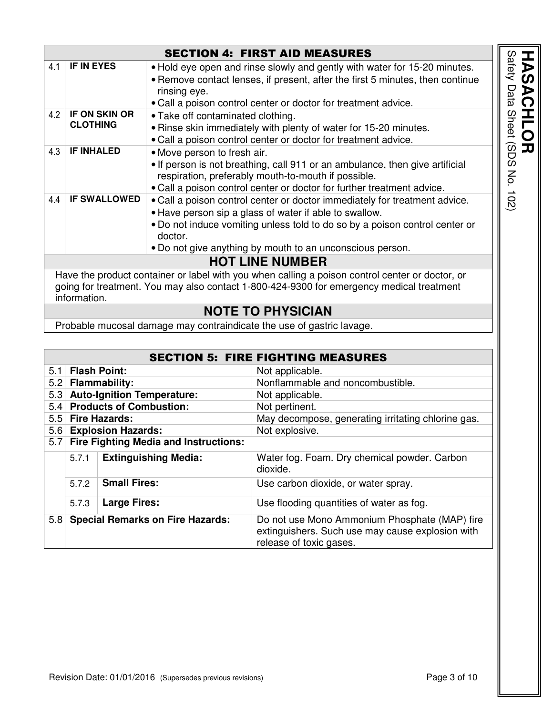|     |                      | <b>SECTION 4: FIRST AID MEASURES</b>                                                            |
|-----|----------------------|-------------------------------------------------------------------------------------------------|
| 4.1 | <b>IF IN EYES</b>    | . Hold eye open and rinse slowly and gently with water for 15-20 minutes.                       |
|     |                      | • Remove contact lenses, if present, after the first 5 minutes, then continue                   |
|     |                      | rinsing eye.                                                                                    |
|     |                      | • Call a poison control center or doctor for treatment advice.                                  |
| 4.2 | <b>IF ON SKIN OR</b> | • Take off contaminated clothing.                                                               |
|     | <b>CLOTHING</b>      | • Rinse skin immediately with plenty of water for 15-20 minutes.                                |
|     |                      | . Call a poison control center or doctor for treatment advice.                                  |
| 4.3 | <b>IF INHALED</b>    | • Move person to fresh air.                                                                     |
|     |                      | . If person is not breathing, call 911 or an ambulance, then give artificial                    |
|     |                      | respiration, preferably mouth-to-mouth if possible.                                             |
|     |                      | • Call a poison control center or doctor for further treatment advice.                          |
| 4.4 | <b>IF SWALLOWED</b>  | . Call a poison control center or doctor immediately for treatment advice.                      |
|     |                      | • Have person sip a glass of water if able to swallow.                                          |
|     |                      | • Do not induce vomiting unless told to do so by a poison control center or                     |
|     |                      | doctor.                                                                                         |
|     |                      | • Do not give anything by mouth to an unconscious person.                                       |
|     |                      | <b>HOT LINE NUMBER</b>                                                                          |
|     |                      | Have the product container or label with you when calling a poison control center or doctor, or |
|     |                      | going for treatment. You may also contact 1-800-424-9300 for emergency medical treatment        |
|     | information.         |                                                                                                 |
|     |                      | <b>NOTE TO PHYSICIAN</b>                                                                        |
|     |                      |                                                                                                 |

Probable mucosal damage may contraindicate the use of gastric lavage.

|     |       |                                              | <b>SECTION 5: FIRE FIGHTING MEASURES</b>                                                                                     |
|-----|-------|----------------------------------------------|------------------------------------------------------------------------------------------------------------------------------|
| 5.1 |       | <b>Flash Point:</b>                          | Not applicable.                                                                                                              |
| 5.2 |       | <b>Flammability:</b>                         | Nonflammable and noncombustible.                                                                                             |
| 5.3 |       | <b>Auto-Ignition Temperature:</b>            | Not applicable.                                                                                                              |
| 5.4 |       | <b>Products of Combustion:</b>               | Not pertinent.                                                                                                               |
| 5.5 |       | <b>Fire Hazards:</b>                         | May decompose, generating irritating chlorine gas.                                                                           |
| 5.6 |       | <b>Explosion Hazards:</b>                    | Not explosive.                                                                                                               |
| 5.7 |       | <b>Fire Fighting Media and Instructions:</b> |                                                                                                                              |
|     | 5.7.1 | <b>Extinguishing Media:</b>                  | Water fog. Foam. Dry chemical powder. Carbon<br>dioxide.                                                                     |
|     | 5.7.2 | <b>Small Fires:</b>                          | Use carbon dioxide, or water spray.                                                                                          |
|     | 5.7.3 | <b>Large Fires:</b>                          | Use flooding quantities of water as fog.                                                                                     |
| 5.8 |       | <b>Special Remarks on Fire Hazards:</b>      | Do not use Mono Ammonium Phosphate (MAP) fire<br>extinguishers. Such use may cause explosion with<br>release of toxic gases. |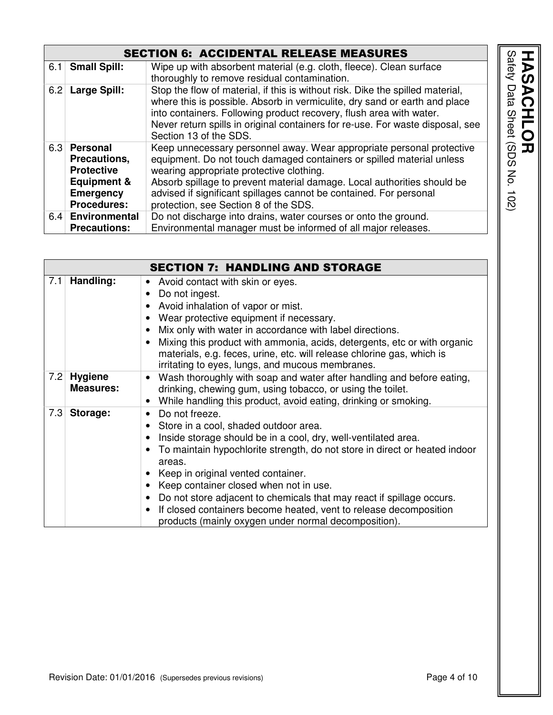#### SECTION 6: ACCIDENTAL RELEASE MEASURES

| 6.1 | <b>Small Spill:</b>                                                                                                      | Wipe up with absorbent material (e.g. cloth, fleece). Clean surface<br>thoroughly to remove residual contamination.                                                                                                                                                                                                                                                                  |
|-----|--------------------------------------------------------------------------------------------------------------------------|--------------------------------------------------------------------------------------------------------------------------------------------------------------------------------------------------------------------------------------------------------------------------------------------------------------------------------------------------------------------------------------|
| 6.2 | Large Spill:                                                                                                             | Stop the flow of material, if this is without risk. Dike the spilled material,<br>where this is possible. Absorb in vermiculite, dry sand or earth and place<br>into containers. Following product recovery, flush area with water.<br>Never return spills in original containers for re-use. For waste disposal, see<br>Section 13 of the SDS.                                      |
| 6.3 | <b>Personal</b><br>Precautions,<br><b>Protective</b><br><b>Equipment &amp;</b><br><b>Emergency</b><br><b>Procedures:</b> | Keep unnecessary personnel away. Wear appropriate personal protective<br>equipment. Do not touch damaged containers or spilled material unless<br>wearing appropriate protective clothing.<br>Absorb spillage to prevent material damage. Local authorities should be<br>advised if significant spillages cannot be contained. For personal<br>protection, see Section 8 of the SDS. |
| 6.4 | <b>Environmental</b>                                                                                                     | Do not discharge into drains, water courses or onto the ground.                                                                                                                                                                                                                                                                                                                      |
|     | <b>Precautions:</b>                                                                                                      | Environmental manager must be informed of all major releases.                                                                                                                                                                                                                                                                                                                        |

|     |                                    | <b>SECTION 7: HANDLING AND STORAGE</b>                                                                                                                                                                                                                                                                                                                                                                                                                                                                                                                                                     |
|-----|------------------------------------|--------------------------------------------------------------------------------------------------------------------------------------------------------------------------------------------------------------------------------------------------------------------------------------------------------------------------------------------------------------------------------------------------------------------------------------------------------------------------------------------------------------------------------------------------------------------------------------------|
| 7.1 | Handling:                          | Avoid contact with skin or eyes.<br>$\bullet$<br>Do not ingest.<br>$\bullet$<br>Avoid inhalation of vapor or mist.<br>Wear protective equipment if necessary.<br>Mix only with water in accordance with label directions.<br>$\bullet$<br>Mixing this product with ammonia, acids, detergents, etc or with organic<br>$\bullet$<br>materials, e.g. feces, urine, etc. will release chlorine gas, which is<br>irritating to eyes, lungs, and mucous membranes.                                                                                                                              |
| 7.2 | <b>Hygiene</b><br><b>Measures:</b> | Wash thoroughly with soap and water after handling and before eating,<br>$\bullet$<br>drinking, chewing gum, using tobacco, or using the toilet.<br>While handling this product, avoid eating, drinking or smoking.                                                                                                                                                                                                                                                                                                                                                                        |
| 7.3 | Storage:                           | Do not freeze.<br>$\bullet$<br>Store in a cool, shaded outdoor area.<br>$\bullet$<br>Inside storage should be in a cool, dry, well-ventilated area.<br>٠<br>To maintain hypochlorite strength, do not store in direct or heated indoor<br>$\bullet$<br>areas.<br>Keep in original vented container.<br>Keep container closed when not in use.<br>$\bullet$<br>Do not store adjacent to chemicals that may react if spillage occurs.<br>$\bullet$<br>If closed containers become heated, vent to release decomposition<br>$\bullet$<br>products (mainly oxygen under normal decomposition). |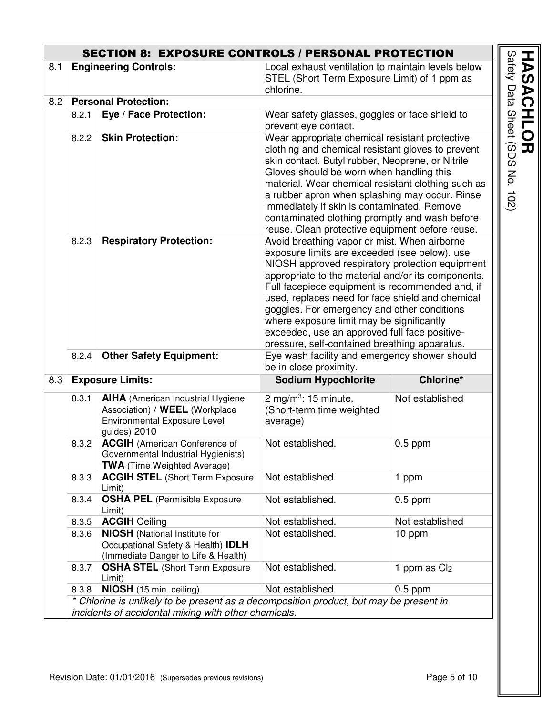|     |       | <b>SECTION 8: EXPOSURE CONTROLS / PERSONAL PROTECTION</b>                    |                                                                                                       |                                       |
|-----|-------|------------------------------------------------------------------------------|-------------------------------------------------------------------------------------------------------|---------------------------------------|
| 8.1 |       | <b>Engineering Controls:</b>                                                 | Local exhaust ventilation to maintain levels below                                                    |                                       |
|     |       |                                                                              | STEL (Short Term Exposure Limit) of 1 ppm as<br>chlorine.                                             |                                       |
| 8.2 |       | <b>Personal Protection:</b>                                                  |                                                                                                       |                                       |
|     | 8.2.1 | Eye / Face Protection:                                                       | Wear safety glasses, goggles or face shield to                                                        |                                       |
|     |       |                                                                              | prevent eye contact.                                                                                  |                                       |
|     | 8.2.2 | <b>Skin Protection:</b>                                                      | Wear appropriate chemical resistant protective<br>clothing and chemical resistant gloves to prevent   |                                       |
|     |       |                                                                              | skin contact. Butyl rubber, Neoprene, or Nitrile                                                      |                                       |
|     |       |                                                                              | Gloves should be worn when handling this                                                              |                                       |
|     |       |                                                                              | material. Wear chemical resistant clothing such as                                                    |                                       |
|     |       |                                                                              | a rubber apron when splashing may occur. Rinse                                                        |                                       |
|     |       |                                                                              | immediately if skin is contaminated. Remove                                                           |                                       |
|     |       |                                                                              | contaminated clothing promptly and wash before                                                        |                                       |
|     | 8.2.3 | <b>Respiratory Protection:</b>                                               | reuse. Clean protective equipment before reuse.                                                       |                                       |
|     |       |                                                                              | Avoid breathing vapor or mist. When airborne<br>exposure limits are exceeded (see below), use         |                                       |
|     |       |                                                                              | NIOSH approved respiratory protection equipment                                                       |                                       |
|     |       |                                                                              | appropriate to the material and/or its components.<br>Full facepiece equipment is recommended and, if |                                       |
|     |       |                                                                              | used, replaces need for face shield and chemical                                                      |                                       |
|     |       |                                                                              | goggles. For emergency and other conditions                                                           |                                       |
|     |       |                                                                              | where exposure limit may be significantly                                                             |                                       |
|     |       |                                                                              | exceeded, use an approved full face positive-                                                         |                                       |
|     |       |                                                                              | pressure, self-contained breathing apparatus.                                                         |                                       |
|     | 8.2.4 | <b>Other Safety Equipment:</b>                                               | Eye wash facility and emergency shower should                                                         |                                       |
|     |       |                                                                              | be in close proximity.                                                                                |                                       |
| 8.3 |       | <b>Exposure Limits:</b>                                                      | <b>Sodium Hypochlorite</b>                                                                            | Chlorine*                             |
|     | 8.3.1 | <b>AIHA</b> (American Industrial Hygiene                                     | 2 mg/m <sup>3</sup> : 15 minute.                                                                      | Not established                       |
|     |       | Association) / WEEL (Workplace                                               | (Short-term time weighted                                                                             |                                       |
|     |       | Environmental Exposure Level<br>guides) 2010                                 | average)                                                                                              |                                       |
|     | 8.3.2 | <b>ACGIH</b> (American Conference of                                         | Not established.                                                                                      | $0.5$ ppm                             |
|     |       | Governmental Industrial Hygienists)                                          |                                                                                                       |                                       |
|     |       |                                                                              |                                                                                                       |                                       |
|     |       | <b>TWA</b> (Time Weighted Average)                                           |                                                                                                       |                                       |
|     | 8.3.3 | <b>ACGIH STEL (Short Term Exposure</b>                                       | Not established.                                                                                      | 1 ppm                                 |
|     |       | Limit)                                                                       |                                                                                                       |                                       |
|     | 8.3.4 | <b>OSHA PEL</b> (Permisible Exposure                                         | Not established.                                                                                      | $0.5$ ppm                             |
|     |       | Limit)                                                                       |                                                                                                       |                                       |
|     | 8.3.5 | <b>ACGIH Ceiling</b>                                                         | Not established.                                                                                      | Not established                       |
|     | 8.3.6 | <b>NIOSH</b> (National Institute for                                         | Not established.                                                                                      | 10 ppm                                |
|     |       | Occupational Safety & Health) <b>IDLH</b>                                    |                                                                                                       |                                       |
|     | 8.3.7 | (Immediate Danger to Life & Health)<br><b>OSHA STEL (Short Term Exposure</b> | Not established.                                                                                      |                                       |
|     |       | Limit)<br><b>NIOSH</b> (15 min. ceiling)                                     | Not established.                                                                                      | 1 ppm as Cl <sub>2</sub><br>$0.5$ ppm |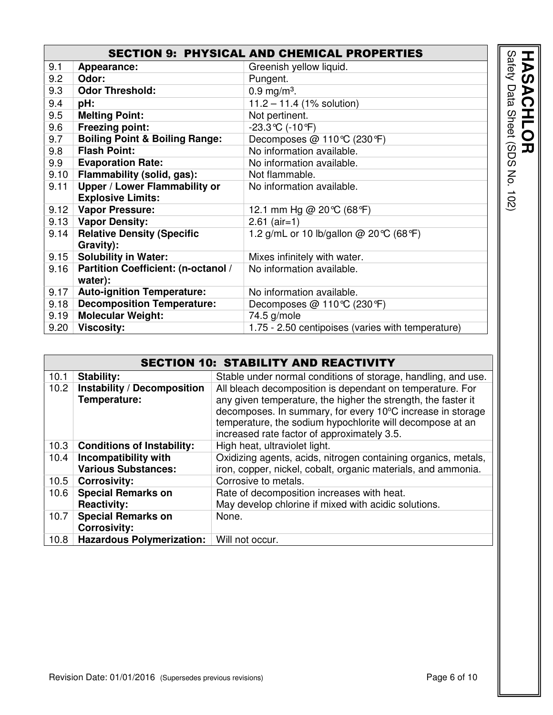|      | <b>SECTION 9: PHYSICAL AND CHEMICAL PROPERTIES</b> |                                                   |  |  |  |
|------|----------------------------------------------------|---------------------------------------------------|--|--|--|
| 9.1  | Appearance:                                        | Greenish yellow liquid.                           |  |  |  |
| 9.2  | Odor:                                              | Pungent.                                          |  |  |  |
| 9.3  | <b>Odor Threshold:</b>                             | $0.9 \,\mathrm{mg/m^3}$ .                         |  |  |  |
| 9.4  | pH:                                                | $11.2 - 11.4$ (1% solution)                       |  |  |  |
| 9.5  | <b>Melting Point:</b>                              | Not pertinent.                                    |  |  |  |
| 9.6  | <b>Freezing point:</b>                             | $-23.3$ °C (-10°F)                                |  |  |  |
| 9.7  | <b>Boiling Point &amp; Boiling Range:</b>          | Decomposes @ 110 °C (230 °F)                      |  |  |  |
| 9.8  | <b>Flash Point:</b>                                | No information available.                         |  |  |  |
| 9.9  | <b>Evaporation Rate:</b>                           | No information available.                         |  |  |  |
| 9.10 | Flammability (solid, gas):                         | Not flammable.                                    |  |  |  |
| 9.11 | Upper / Lower Flammability or                      | No information available.                         |  |  |  |
|      | <b>Explosive Limits:</b>                           |                                                   |  |  |  |
| 9.12 | <b>Vapor Pressure:</b>                             | 12.1 mm Hg @ 20 ℃ (68 °F)                         |  |  |  |
|      | 9.13   Vapor Density:                              | $2.61$ (air=1)                                    |  |  |  |
| 9.14 | <b>Relative Density (Specific</b>                  | 1.2 g/mL or 10 lb/gallon @ 20 °C (68 °F)          |  |  |  |
|      | Gravity):                                          |                                                   |  |  |  |
| 9.15 | <b>Solubility in Water:</b>                        | Mixes infinitely with water.                      |  |  |  |
| 9.16 | <b>Partition Coefficient: (n-octanol /</b>         | No information available.                         |  |  |  |
|      | water):                                            |                                                   |  |  |  |
| 9.17 | <b>Auto-ignition Temperature:</b>                  | No information available.                         |  |  |  |
| 9.18 | <b>Decomposition Temperature:</b>                  | Decomposes @ 110 °C (230 °F)                      |  |  |  |
| 9.19 | <b>Molecular Weight:</b>                           | 74.5 g/mole                                       |  |  |  |
| 9.20 | <b>Viscosity:</b>                                  | 1.75 - 2.50 centipoises (varies with temperature) |  |  |  |

|                   | <b>SECTION 10: STABILITY AND REACTIVITY</b>        |                                                                                                                                                                                                                                         |  |  |
|-------------------|----------------------------------------------------|-----------------------------------------------------------------------------------------------------------------------------------------------------------------------------------------------------------------------------------------|--|--|
| 10.1              | <b>Stability:</b>                                  | Stable under normal conditions of storage, handling, and use.                                                                                                                                                                           |  |  |
| 10.2 <sub>1</sub> | <b>Instability / Decomposition</b>                 | All bleach decomposition is dependant on temperature. For                                                                                                                                                                               |  |  |
|                   | Temperature:                                       | any given temperature, the higher the strength, the faster it<br>decomposes. In summary, for every 10°C increase in storage<br>temperature, the sodium hypochlorite will decompose at an<br>increased rate factor of approximately 3.5. |  |  |
| 10.3              | <b>Conditions of Instability:</b>                  | High heat, ultraviolet light.                                                                                                                                                                                                           |  |  |
| 10.4              | Incompatibility with<br><b>Various Substances:</b> | Oxidizing agents, acids, nitrogen containing organics, metals,<br>iron, copper, nickel, cobalt, organic materials, and ammonia.                                                                                                         |  |  |
| 10.5              | <b>Corrosivity:</b>                                | Corrosive to metals.                                                                                                                                                                                                                    |  |  |
| 10.6              | <b>Special Remarks on</b><br><b>Reactivity:</b>    | Rate of decomposition increases with heat.<br>May develop chlorine if mixed with acidic solutions.                                                                                                                                      |  |  |
| 10.7              | <b>Special Remarks on</b><br><b>Corrosivity:</b>   | None.                                                                                                                                                                                                                                   |  |  |
| 10.8              | <b>Hazardous Polymerization:</b>                   | Will not occur.                                                                                                                                                                                                                         |  |  |

Safety Data Sheet (SDS No. 102)

**HASACHLOR<br>Safety Data Sheet (SDS No. 102)**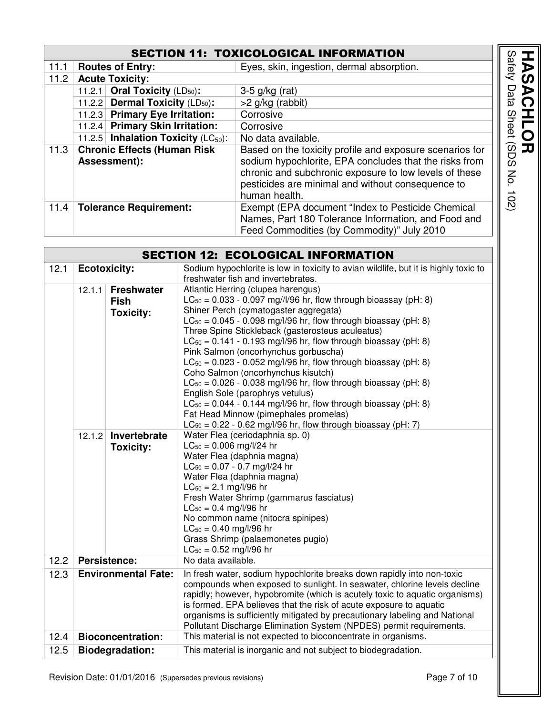### SECTION 11: TOXICOLOGICAL INFORMATION

| <b>SECTION 11: TOXICOLOGICAL INFORMATION</b> |                                                    |                                                                                                                                                                                                                                                    |                                   |
|----------------------------------------------|----------------------------------------------------|----------------------------------------------------------------------------------------------------------------------------------------------------------------------------------------------------------------------------------------------------|-----------------------------------|
| 11.1                                         | <b>Routes of Entry:</b>                            | Eyes, skin, ingestion, dermal absorption.                                                                                                                                                                                                          | Safety<br>$\overline{\mathbf{b}}$ |
| 11.2                                         | <b>Acute Toxicity:</b>                             |                                                                                                                                                                                                                                                    | ၯ                                 |
|                                              | 11.2.1 Oral Toxicity $(LD_{50})$ :                 | $3-5$ g/kg (rat)                                                                                                                                                                                                                                   | Data<br>$\triangleright$          |
|                                              | 11.2.2 Dermal Toxicity (LD <sub>50</sub> ):        | $>2$ g/kg (rabbit)                                                                                                                                                                                                                                 |                                   |
|                                              | 11.2.3 Primary Eye Irritation:                     | Corrosive                                                                                                                                                                                                                                          | <b>Sheet</b>                      |
|                                              | 11.2.4 Primary Skin Irritation:                    | Corrosive                                                                                                                                                                                                                                          |                                   |
|                                              | 11.2.5 Inhalation Toxicity $(LC_{50})$ :           | No data available.                                                                                                                                                                                                                                 |                                   |
| 11.3                                         | <b>Chronic Effects (Human Risk</b><br>Assessment): | Based on the toxicity profile and exposure scenarios for<br>sodium hypochlorite, EPA concludes that the risks from<br>chronic and subchronic exposure to low levels of these<br>pesticides are minimal and without consequence to<br>human health. | SDS<br>IJ<br>No.<br>102           |
| 11.4                                         | <b>Tolerance Requirement:</b>                      | Exempt (EPA document "Index to Pesticide Chemical<br>Names, Part 180 Tolerance Information, and Food and<br>Feed Commodities (by Commodity)" July 2010                                                                                             |                                   |

| <b>SECTION 12: ECOLOGICAL INFORMATION</b>                              |                        |                                  |                                                                                                                                                                                                                                                                                                                                                                                                                                                                                                                                                                                                                                                                                                                                                                                                            |  |  |
|------------------------------------------------------------------------|------------------------|----------------------------------|------------------------------------------------------------------------------------------------------------------------------------------------------------------------------------------------------------------------------------------------------------------------------------------------------------------------------------------------------------------------------------------------------------------------------------------------------------------------------------------------------------------------------------------------------------------------------------------------------------------------------------------------------------------------------------------------------------------------------------------------------------------------------------------------------------|--|--|
| 12.1                                                                   | <b>Ecotoxicity:</b>    |                                  | Sodium hypochlorite is low in toxicity to avian wildlife, but it is highly toxic to<br>freshwater fish and invertebrates.                                                                                                                                                                                                                                                                                                                                                                                                                                                                                                                                                                                                                                                                                  |  |  |
| 12.1.1<br><b>Freshwater</b><br><b>Fish</b><br><b>Toxicity:</b>         |                        |                                  | Atlantic Herring (clupea harengus)<br>$LC_{50} = 0.033 - 0.097$ mg//l/96 hr, flow through bioassay (pH: 8)<br>Shiner Perch (cymatogaster aggregata)<br>$LC_{50} = 0.045 - 0.098$ mg/l/96 hr, flow through bioassay (pH: 8)<br>Three Spine Stickleback (gasterosteus aculeatus)<br>$LC_{50} = 0.141 - 0.193$ mg/l/96 hr, flow through bioassay (pH: 8)<br>Pink Salmon (oncorhynchus gorbuscha)<br>$LC_{50} = 0.023 - 0.052$ mg/l/96 hr, flow through bioassay (pH: 8)<br>Coho Salmon (oncorhynchus kisutch)<br>$LC_{50} = 0.026 - 0.038$ mg/l/96 hr, flow through bioassay (pH: 8)<br>English Sole (parophrys vetulus)<br>$LC_{50} = 0.044 - 0.144$ mg/l/96 hr, flow through bioassay (pH: 8)<br>Fat Head Minnow (pimephales promelas)<br>$LC_{50} = 0.22 - 0.62$ mg/l/96 hr, flow through bioassay (pH: 7) |  |  |
|                                                                        | 12.1.2                 | Invertebrate<br><b>Toxicity:</b> | Water Flea (ceriodaphnia sp. 0)<br>$LC_{50} = 0.006$ mg/l/24 hr<br>Water Flea (daphnia magna)<br>$LC_{50} = 0.07 - 0.7$ mg/l/24 hr<br>Water Flea (daphnia magna)<br>$LC_{50} = 2.1$ mg/l/96 hr<br>Fresh Water Shrimp (gammarus fasciatus)<br>$LC_{50} = 0.4$ mg/l/96 hr<br>No common name (nitocra spinipes)<br>$LC_{50} = 0.40$ mg/l/96 hr<br>Grass Shrimp (palaemonetes pugio)<br>$LC_{50} = 0.52$ mg/l/96 hr                                                                                                                                                                                                                                                                                                                                                                                            |  |  |
| 12.2                                                                   | <b>Persistence:</b>    |                                  | No data available.                                                                                                                                                                                                                                                                                                                                                                                                                                                                                                                                                                                                                                                                                                                                                                                         |  |  |
| 12.3<br><b>Environmental Fate:</b><br>12.4<br><b>Bioconcentration:</b> |                        |                                  | In fresh water, sodium hypochlorite breaks down rapidly into non-toxic<br>compounds when exposed to sunlight. In seawater, chlorine levels decline<br>rapidly; however, hypobromite (which is acutely toxic to aquatic organisms)<br>is formed. EPA believes that the risk of acute exposure to aquatic<br>organisms is sufficiently mitigated by precautionary labeling and National<br>Pollutant Discharge Elimination System (NPDES) permit requirements.<br>This material is not expected to bioconcentrate in organisms.                                                                                                                                                                                                                                                                              |  |  |
| 12.5                                                                   | <b>Biodegradation:</b> |                                  | This material is inorganic and not subject to biodegradation.                                                                                                                                                                                                                                                                                                                                                                                                                                                                                                                                                                                                                                                                                                                                              |  |  |
|                                                                        |                        |                                  |                                                                                                                                                                                                                                                                                                                                                                                                                                                                                                                                                                                                                                                                                                                                                                                                            |  |  |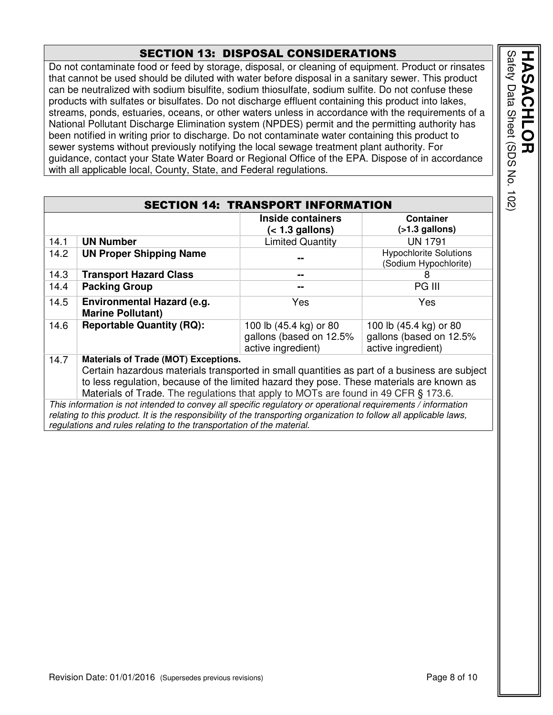#### SECTION 13: DISPOSAL CONSIDERATIONS

Do not contaminate food or feed by storage, disposal, or cleaning of equipment. Product or rinsates that cannot be used should be diluted with water before disposal in a sanitary sewer. This product can be neutralized with sodium bisulfite, sodium thiosulfate, sodium sulfite. Do not confuse these products with sulfates or bisulfates. Do not discharge effluent containing this product into lakes, streams, ponds, estuaries, oceans, or other waters unless in accordance with the requirements of a National Pollutant Discharge Elimination system (NPDES) permit and the permitting authority has been notified in writing prior to discharge. Do not contaminate water containing this product to sewer systems without previously notifying the local sewage treatment plant authority. For guidance, contact your State Water Board or Regional Office of the EPA. Dispose of in accordance with all applicable local, County, State, and Federal regulations.

|      |                                                                                                                    | <b>SECTION 14: TRANSPORT INFORMATION</b> |                               |
|------|--------------------------------------------------------------------------------------------------------------------|------------------------------------------|-------------------------------|
|      |                                                                                                                    | <b>Inside containers</b>                 | <b>Container</b>              |
|      |                                                                                                                    | $(1.3 gallons)$                          | $($ >1.3 gallons)             |
| 14.1 | <b>UN Number</b>                                                                                                   | <b>Limited Quantity</b>                  | <b>UN 1791</b>                |
| 14.2 | <b>UN Proper Shipping Name</b>                                                                                     |                                          | <b>Hypochlorite Solutions</b> |
|      |                                                                                                                    |                                          | (Sodium Hypochlorite)         |
| 14.3 | <b>Transport Hazard Class</b>                                                                                      | --                                       | 8                             |
| 14.4 | <b>Packing Group</b>                                                                                               | --                                       | PG III                        |
| 14.5 | <b>Environmental Hazard (e.g.</b>                                                                                  | Yes                                      | <b>Yes</b>                    |
|      | <b>Marine Pollutant)</b>                                                                                           |                                          |                               |
| 14.6 | <b>Reportable Quantity (RQ):</b>                                                                                   | 100 lb (45.4 kg) or 80                   | 100 lb (45.4 kg) or 80        |
|      |                                                                                                                    | gallons (based on 12.5%                  | gallons (based on 12.5%       |
|      |                                                                                                                    | active ingredient)                       | active ingredient)            |
| 14.7 | <b>Materials of Trade (MOT) Exceptions.</b>                                                                        |                                          |                               |
|      | Certain hazardous materials transported in small quantities as part of a business are subject                      |                                          |                               |
|      | to less regulation, because of the limited hazard they pose. These materials are known as                          |                                          |                               |
|      | Materials of Trade. The regulations that apply to MOTs are found in 49 CFR § 173.6.                                |                                          |                               |
|      | This information is not intended to convey all specific regulatory or operational requirements / information       |                                          |                               |
|      | relating to this product. It is the responsibility of the transporting organization to follow all applicable laws, |                                          |                               |
|      | regulations and rules relating to the transportation of the material.                                              |                                          |                               |

Safety Data Sheet (SDS No. 102) Safety Data Sheet (SDS No. 102) **HASACHLOR** HASACHLOR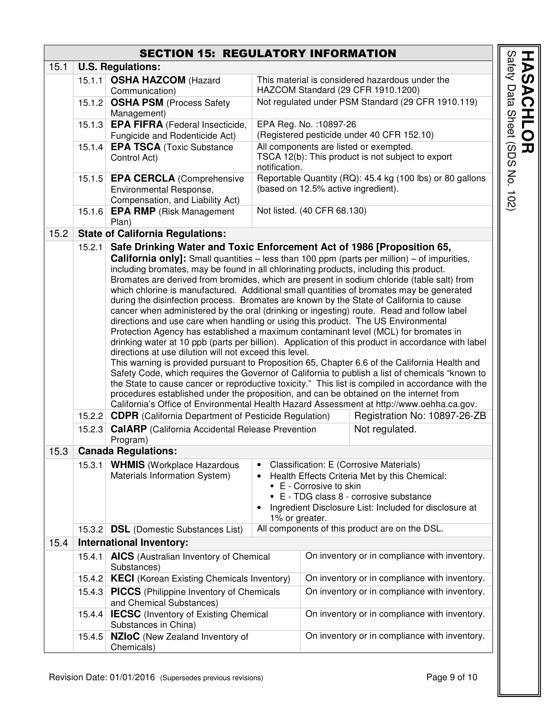### SECTION 15: REGULATORY INFORMATION

| 15.1 |        | <b>U.S. Regulations:</b>                                                                                                                                                                                                                                                                                                                                                                                                                                                                                                                                                                                                                                                                                                                                                                                                                                                                                                                                                                                                                                                                                                                                                                                                                                                                                                                                                                                                                                                                                                                                                                                                                   |                                            |                                                                                                                                                                                                                                 |                                                           |
|------|--------|--------------------------------------------------------------------------------------------------------------------------------------------------------------------------------------------------------------------------------------------------------------------------------------------------------------------------------------------------------------------------------------------------------------------------------------------------------------------------------------------------------------------------------------------------------------------------------------------------------------------------------------------------------------------------------------------------------------------------------------------------------------------------------------------------------------------------------------------------------------------------------------------------------------------------------------------------------------------------------------------------------------------------------------------------------------------------------------------------------------------------------------------------------------------------------------------------------------------------------------------------------------------------------------------------------------------------------------------------------------------------------------------------------------------------------------------------------------------------------------------------------------------------------------------------------------------------------------------------------------------------------------------|--------------------------------------------|---------------------------------------------------------------------------------------------------------------------------------------------------------------------------------------------------------------------------------|-----------------------------------------------------------|
|      |        | 15.1.1 OSHA HAZCOM (Hazard                                                                                                                                                                                                                                                                                                                                                                                                                                                                                                                                                                                                                                                                                                                                                                                                                                                                                                                                                                                                                                                                                                                                                                                                                                                                                                                                                                                                                                                                                                                                                                                                                 |                                            |                                                                                                                                                                                                                                 | This material is considered hazardous under the           |
|      |        | Communication)                                                                                                                                                                                                                                                                                                                                                                                                                                                                                                                                                                                                                                                                                                                                                                                                                                                                                                                                                                                                                                                                                                                                                                                                                                                                                                                                                                                                                                                                                                                                                                                                                             |                                            |                                                                                                                                                                                                                                 | HAZCOM Standard (29 CFR 1910.1200)                        |
|      |        | 15.1.2 OSHA PSM (Process Safety<br>Management)                                                                                                                                                                                                                                                                                                                                                                                                                                                                                                                                                                                                                                                                                                                                                                                                                                                                                                                                                                                                                                                                                                                                                                                                                                                                                                                                                                                                                                                                                                                                                                                             |                                            |                                                                                                                                                                                                                                 | Not regulated under PSM Standard (29 CFR 1910.119)        |
|      |        | 15.1.3 <b>EPA FIFRA</b> (Federal Insecticide,                                                                                                                                                                                                                                                                                                                                                                                                                                                                                                                                                                                                                                                                                                                                                                                                                                                                                                                                                                                                                                                                                                                                                                                                                                                                                                                                                                                                                                                                                                                                                                                              |                                            | EPA Reg. No. : 10897-26                                                                                                                                                                                                         |                                                           |
|      |        | Fungicide and Rodenticide Act)                                                                                                                                                                                                                                                                                                                                                                                                                                                                                                                                                                                                                                                                                                                                                                                                                                                                                                                                                                                                                                                                                                                                                                                                                                                                                                                                                                                                                                                                                                                                                                                                             | (Registered pesticide under 40 CFR 152.10) |                                                                                                                                                                                                                                 |                                                           |
|      |        | 15.1.4 <b>EPA TSCA</b> (Toxic Substance                                                                                                                                                                                                                                                                                                                                                                                                                                                                                                                                                                                                                                                                                                                                                                                                                                                                                                                                                                                                                                                                                                                                                                                                                                                                                                                                                                                                                                                                                                                                                                                                    |                                            |                                                                                                                                                                                                                                 | All components are listed or exempted.                    |
|      |        | Control Act)                                                                                                                                                                                                                                                                                                                                                                                                                                                                                                                                                                                                                                                                                                                                                                                                                                                                                                                                                                                                                                                                                                                                                                                                                                                                                                                                                                                                                                                                                                                                                                                                                               | notification.                              |                                                                                                                                                                                                                                 | TSCA 12(b): This product is not subject to export         |
|      |        | 15.1.5 EPA CERCLA (Comprehensive                                                                                                                                                                                                                                                                                                                                                                                                                                                                                                                                                                                                                                                                                                                                                                                                                                                                                                                                                                                                                                                                                                                                                                                                                                                                                                                                                                                                                                                                                                                                                                                                           |                                            |                                                                                                                                                                                                                                 | Reportable Quantity (RQ): 45.4 kg (100 lbs) or 80 gallons |
|      |        | Environmental Response,<br>Compensation, and Liability Act)                                                                                                                                                                                                                                                                                                                                                                                                                                                                                                                                                                                                                                                                                                                                                                                                                                                                                                                                                                                                                                                                                                                                                                                                                                                                                                                                                                                                                                                                                                                                                                                |                                            |                                                                                                                                                                                                                                 | (based on 12.5% active ingredient).                       |
|      | 15.1.6 | <b>EPA RMP</b> (Risk Management<br>Plan)                                                                                                                                                                                                                                                                                                                                                                                                                                                                                                                                                                                                                                                                                                                                                                                                                                                                                                                                                                                                                                                                                                                                                                                                                                                                                                                                                                                                                                                                                                                                                                                                   |                                            | Not listed. (40 CFR 68.130)                                                                                                                                                                                                     |                                                           |
| 15.2 |        | <b>State of California Regulations:</b>                                                                                                                                                                                                                                                                                                                                                                                                                                                                                                                                                                                                                                                                                                                                                                                                                                                                                                                                                                                                                                                                                                                                                                                                                                                                                                                                                                                                                                                                                                                                                                                                    |                                            |                                                                                                                                                                                                                                 |                                                           |
|      | 15.2.1 | Safe Drinking Water and Toxic Enforcement Act of 1986 [Proposition 65,<br><b>California only]:</b> Small quantities – less than 100 ppm (parts per million) – of impurities,<br>including bromates, may be found in all chlorinating products, including this product.<br>Bromates are derived from bromides, which are present in sodium chloride (table salt) from<br>which chlorine is manufactured. Additional small quantities of bromates may be generated<br>during the disinfection process. Bromates are known by the State of California to cause<br>cancer when administered by the oral (drinking or ingesting) route. Read and follow label<br>directions and use care when handling or using this product. The US Environmental<br>Protection Agency has established a maximum contaminant level (MCL) for bromates in<br>drinking water at 10 ppb (parts per billion). Application of this product in accordance with label<br>directions at use dilution will not exceed this level.<br>This warning is provided pursuant to Proposition 65, Chapter 6.6 of the California Health and<br>Safety Code, which requires the Governor of California to publish a list of chemicals "known to<br>the State to cause cancer or reproductive toxicity." This list is compiled in accordance with the<br>procedures established under the proposition, and can be obtained on the internet from<br>California's Office of Environmental Health Hazard Assessment at http://www.oehha.ca.gov.<br>15.2.2 CDPR (California Department of Pesticide Regulation)<br>15.2.3 CalARP (California Accidental Release Prevention<br>Program) |                                            |                                                                                                                                                                                                                                 | Registration No: 10897-26-ZB<br>Not regulated.            |
| 15.3 |        | <b>Canada Regulations:</b>                                                                                                                                                                                                                                                                                                                                                                                                                                                                                                                                                                                                                                                                                                                                                                                                                                                                                                                                                                                                                                                                                                                                                                                                                                                                                                                                                                                                                                                                                                                                                                                                                 |                                            |                                                                                                                                                                                                                                 |                                                           |
|      |        | 15.3.1 WHMIS (Workplace Hazardous<br>Materials Information System)                                                                                                                                                                                                                                                                                                                                                                                                                                                                                                                                                                                                                                                                                                                                                                                                                                                                                                                                                                                                                                                                                                                                                                                                                                                                                                                                                                                                                                                                                                                                                                         | 1% or greater.                             | <b>Classification: E (Corrosive Materials)</b><br>Health Effects Criteria Met by this Chemical:<br>■ E - Corrosive to skin<br>• E - TDG class 8 - corrosive substance<br>Ingredient Disclosure List: Included for disclosure at |                                                           |
|      | 15.3.2 | <b>DSL</b> (Domestic Substances List)                                                                                                                                                                                                                                                                                                                                                                                                                                                                                                                                                                                                                                                                                                                                                                                                                                                                                                                                                                                                                                                                                                                                                                                                                                                                                                                                                                                                                                                                                                                                                                                                      |                                            |                                                                                                                                                                                                                                 | All components of this product are on the DSL.            |
| 15.4 |        | <b>International Inventory:</b>                                                                                                                                                                                                                                                                                                                                                                                                                                                                                                                                                                                                                                                                                                                                                                                                                                                                                                                                                                                                                                                                                                                                                                                                                                                                                                                                                                                                                                                                                                                                                                                                            |                                            |                                                                                                                                                                                                                                 |                                                           |
|      | 15.4.1 | <b>AICS</b> (Australian Inventory of Chemical<br>Substances)<br>15.4.2   KECI (Korean Existing Chemicals Inventory)<br>15.4.3 PICCS (Philippine Inventory of Chemicals<br>and Chemical Substances)<br>15.4.4 <b>IECSC</b> (Inventory of Existing Chemical<br>Substances in China)                                                                                                                                                                                                                                                                                                                                                                                                                                                                                                                                                                                                                                                                                                                                                                                                                                                                                                                                                                                                                                                                                                                                                                                                                                                                                                                                                          |                                            | On inventory or in compliance with inventory.                                                                                                                                                                                   |                                                           |
|      |        |                                                                                                                                                                                                                                                                                                                                                                                                                                                                                                                                                                                                                                                                                                                                                                                                                                                                                                                                                                                                                                                                                                                                                                                                                                                                                                                                                                                                                                                                                                                                                                                                                                            |                                            | On inventory or in compliance with inventory.                                                                                                                                                                                   |                                                           |
|      |        |                                                                                                                                                                                                                                                                                                                                                                                                                                                                                                                                                                                                                                                                                                                                                                                                                                                                                                                                                                                                                                                                                                                                                                                                                                                                                                                                                                                                                                                                                                                                                                                                                                            |                                            | On inventory or in compliance with inventory.                                                                                                                                                                                   |                                                           |
|      |        |                                                                                                                                                                                                                                                                                                                                                                                                                                                                                                                                                                                                                                                                                                                                                                                                                                                                                                                                                                                                                                                                                                                                                                                                                                                                                                                                                                                                                                                                                                                                                                                                                                            |                                            | On inventory or in compliance with inventory.                                                                                                                                                                                   |                                                           |
|      | 15.4.5 | <b>NZIoC</b> (New Zealand Inventory of<br>Chemicals)                                                                                                                                                                                                                                                                                                                                                                                                                                                                                                                                                                                                                                                                                                                                                                                                                                                                                                                                                                                                                                                                                                                                                                                                                                                                                                                                                                                                                                                                                                                                                                                       |                                            |                                                                                                                                                                                                                                 | On inventory or in compliance with inventory.             |

Safety Data Sheet (SDS No. 102)

**HASACHLOR**<br>Safety Data Sheet (SDS No. 102)